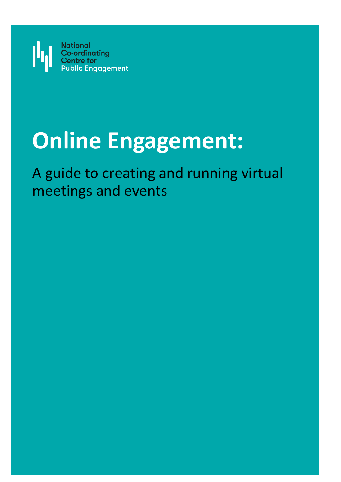

# **Online Engagement:**

# A guide to creating and running virtual meetings and events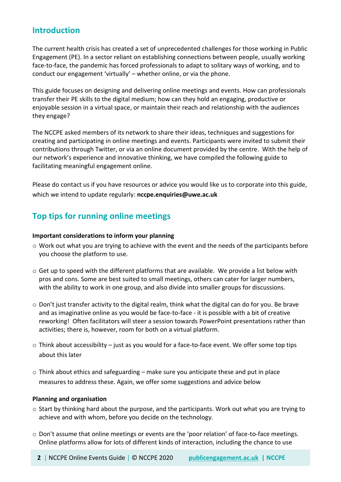## **Introduction**

The current health crisis has created a set of unprecedented challenges for those working in Public Engagement (PE). In a sector reliant on establishing connections between people, usually working face-to-face, the pandemic has forced professionals to adapt to solitary ways of working, and to conduct our engagement 'virtually' – whether online, or via the phone.

This guide focuses on designing and delivering online meetings and events. How can professionals transfer their PE skills to the digital medium; how can they hold an engaging, productive or enjoyable session in a virtual space, or maintain their reach and relationship with the audiences they engage?

The NCCPE asked members of its network to share their ideas, techniques and suggestions for creating and participating in online meetings and events. Participants were invited to submit their contributions through Twitter, or via an online document provided by the centre. With the help of our network's experience and innovative thinking, we have compiled the following guide to facilitating meaningful engagement online.

Please do contact us if you have resources or advice you would like us to corporate into this guide, which we intend to update regularly: **nccpe.enquiries@uwe.ac.uk**

# **Top tips for running online meetings**

#### **Important considerations to inform your planning**

- o Work out what you are trying to achieve with the event and the needs of the participants before you choose the platform to use.
- $\circ$  Get up to speed with the different platforms that are available. We provide a list below with pros and cons. Some are best suited to small meetings, others can cater for larger numbers, with the ability to work in one group, and also divide into smaller groups for discussions.
- $\circ$  Don't just transfer activity to the digital realm, think what the digital can do for you. Be brave and as imaginative online as you would be face-to-face - it is possible with a bit of creative reworking! Often facilitators will steer a session towards PowerPoint presentations rather than activities; there is, however, room for both on a virtual platform.
- $\circ$  Think about accessibility just as you would for a face-to-face event. We offer some top tips about this later
- $\circ$  Think about ethics and safeguarding make sure you anticipate these and put in place measures to address these. Again, we offer some suggestions and advice below

#### **Planning and organisation**

- $\circ$  Start by thinking hard about the purpose, and the participants. Work out what you are trying to achieve and with whom, before you decide on the technology.
- o Don't assume that online meetings or events are the 'poor relation' of face-to-face meetings. Online platforms allow for lots of different kinds of interaction, including the chance to use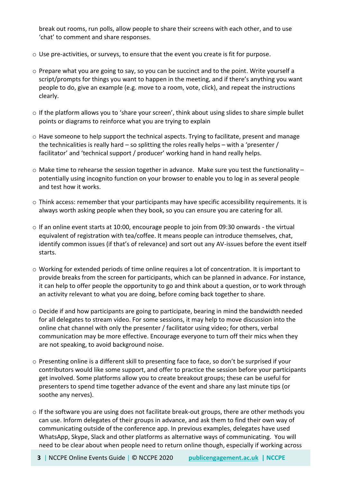break out rooms, run polls, allow people to share their screens with each other, and to use 'chat' to comment and share responses.

- $\circ$  Use pre-activities, or surveys, to ensure that the event you create is fit for purpose.
- o Prepare what you are going to say, so you can be succinct and to the point. Write yourself a script/prompts for things you want to happen in the meeting, and if there's anything you want people to do, give an example (e.g. move to a room, vote, click), and repeat the instructions clearly.
- o If the platform allows you to 'share your screen', think about using slides to share simple bullet points or diagrams to reinforce what you are trying to explain
- $\circ$  Have someone to help support the technical aspects. Trying to facilitate, present and manage the technicalities is really hard – so splitting the roles really helps – with a 'presenter / facilitator' and 'technical support / producer' working hand in hand really helps.
- $\circ$  Make time to rehearse the session together in advance. Make sure you test the functionality potentially using incognito function on your browser to enable you to log in as several people and test how it works.
- o Think access: remember that your participants may have specific accessibility requirements. It is always worth asking people when they book, so you can ensure you are catering for all.
- $\circ$  If an online event starts at 10:00, encourage people to join from 09:30 onwards the virtual equivalent of registration with tea/coffee. It means people can introduce themselves, chat, identify common issues (if that's of relevance) and sort out any AV-issues before the event itself starts.
- o Working for extended periods of time online requires a lot of concentration. It is important to provide breaks from the screen for participants, which can be planned in advance. For instance, it can help to offer people the opportunity to go and think about a question, or to work through an activity relevant to what you are doing, before coming back together to share.
- $\circ$  Decide if and how participants are going to participate, bearing in mind the bandwidth needed for all delegates to stream video. For some sessions, it may help to move discussion into the online chat channel with only the presenter / facilitator using video; for others, verbal communication may be more effective. Encourage everyone to turn off their mics when they are not speaking, to avoid background noise.
- o Presenting online is a different skill to presenting face to face, so don't be surprised if your contributors would like some support, and offer to practice the session before your participants get involved. Some platforms allow you to create breakout groups; these can be useful for presenters to spend time together advance of the event and share any last minute tips (or soothe any nerves).
- $\circ$  If the software you are using does not facilitate break-out groups, there are other methods you can use. Inform delegates of their groups in advance, and ask them to find their own way of communicating outside of the conference app. In previous examples, delegates have used WhatsApp, Skype, Slack and other platforms as alternative ways of communicating. You will need to be clear about when people need to return online though, especially if working across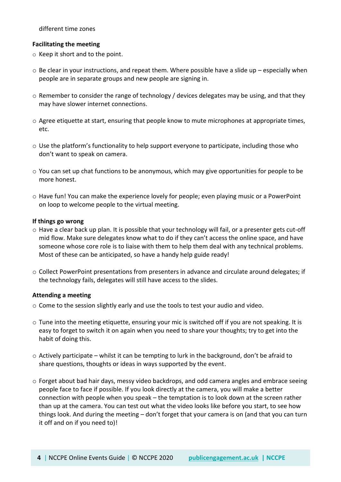different time zones

#### **Facilitating the meeting**

- o Keep it short and to the point.
- $\circ$  Be clear in your instructions, and repeat them. Where possible have a slide up especially when people are in separate groups and new people are signing in.
- $\circ$  Remember to consider the range of technology / devices delegates may be using, and that they may have slower internet connections.
- o Agree etiquette at start, ensuring that people know to mute microphones at appropriate times, etc.
- $\circ$  Use the platform's functionality to help support everyone to participate, including those who don't want to speak on camera.
- $\circ$  You can set up chat functions to be anonymous, which may give opportunities for people to be more honest.
- o Have fun! You can make the experience lovely for people; even playing music or a PowerPoint on loop to welcome people to the virtual meeting.

#### **If things go wrong**

- o Have a clear back up plan. It is possible that your technology will fail, or a presenter gets cut-off mid flow. Make sure delegates know what to do if they can't access the online space, and have someone whose core role is to liaise with them to help them deal with any technical problems. Most of these can be anticipated, so have a handy help guide ready!
- o Collect PowerPoint presentations from presenters in advance and circulate around delegates; if the technology fails, delegates will still have access to the slides.

#### **Attending a meeting**

- o Come to the session slightly early and use the tools to test your audio and video.
- o Tune into the meeting etiquette, ensuring your mic is switched off if you are not speaking. It is easy to forget to switch it on again when you need to share your thoughts; try to get into the habit of doing this.
- $\circ$  Actively participate whilst it can be tempting to lurk in the background, don't be afraid to share questions, thoughts or ideas in ways supported by the event.
- $\circ$  Forget about bad hair days, messy video backdrops, and odd camera angles and embrace seeing people face to face if possible. If you look directly at the camera, you will make a better connection with people when you speak – the temptation is to look down at the screen rather than up at the camera. You can test out what the video looks like before you start, to see how things look. And during the meeting – don't forget that your camera is on (and that you can turn it off and on if you need to)!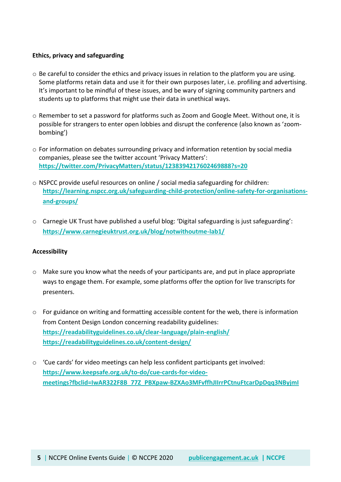#### **Ethics, privacy and safeguarding**

- $\circ$  Be careful to consider the ethics and privacy issues in relation to the platform you are using. Some platforms retain data and use it for their own purposes later, i.e. profiling and advertising. It's important to be mindful of these issues, and be wary of signing community partners and students up to platforms that might use their data in unethical ways.
- o Remember to set a password for platforms such as Zoom and Google Meet. Without one, it is possible for strangers to enter open lobbies and disrupt the conference (also known as 'zoombombing')
- $\circ$  For information on debates surrounding privacy and information retention by social media companies, please see the twitter account 'Privacy Matters': **<https://twitter.com/PrivacyMatters/status/1238394217602469888?s=20>**
- $\circ$  NSPCC provide useful resources on online / social media safeguarding for children: **[https://learning.nspcc.org.uk/safeguarding-child-protection/online-safety-for-organisations](https://learning.nspcc.org.uk/safeguarding-child-protection/online-safety-for-organisations-and-groups/)[and-groups/](https://learning.nspcc.org.uk/safeguarding-child-protection/online-safety-for-organisations-and-groups/)**
- o Carnegie UK Trust have published a useful blog: 'Digital safeguarding is just safeguarding': **<https://www.carnegieuktrust.org.uk/blog/notwithoutme-lab1/>**

#### **Accessibility**

- o Make sure you know what the needs of your participants are, and put in place appropriate ways to engage them. For example, some platforms offer the option for live transcripts for presenters.
- o For guidance on writing and formatting accessible content for the web, there is information from Content Design London concerning readability guidelines: **<https://readabilityguidelines.co.uk/clear-language/plain-english/> <https://readabilityguidelines.co.uk/content-design/>**
- o 'Cue cards' for video meetings can help less confident participants get involved: **[https://www.keepsafe.org.uk/to-do/cue-cards-for-video](https://www.keepsafe.org.uk/to-do/cue-cards-for-video-meetings?fbclid=IwAR322F8B_77Z_PBXpaw-BZXAo3MFvffhJIIrrPCtnuFtcarDpDqq3NByjmI)[meetings?fbclid=IwAR322F8B\\_77Z\\_PBXpaw-BZXAo3MFvffhJIIrrPCtnuFtcarDpDqq3NByjmI](https://www.keepsafe.org.uk/to-do/cue-cards-for-video-meetings?fbclid=IwAR322F8B_77Z_PBXpaw-BZXAo3MFvffhJIIrrPCtnuFtcarDpDqq3NByjmI)**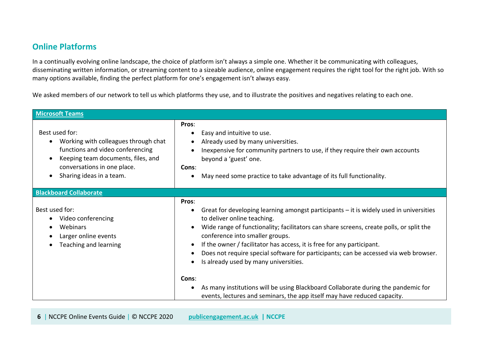# **Online Platforms**

In a continually evolving online landscape, the choice of platform isn't always a simple one. Whether it be communicating with colleagues, disseminating written information, or streaming content to a sizeable audience, online engagement requires the right tool for the right job. With so many options available, finding the perfect platform for one's engagement isn't always easy.

We asked members of our network to tell us which platforms they use, and to illustrate the positives and negatives relating to each one.

| <b>Microsoft Teams</b>                                                                                                                                                                      |                                                                                                                                                                                                                                                                                                                                                                                                                                                                                                                |  |  |
|---------------------------------------------------------------------------------------------------------------------------------------------------------------------------------------------|----------------------------------------------------------------------------------------------------------------------------------------------------------------------------------------------------------------------------------------------------------------------------------------------------------------------------------------------------------------------------------------------------------------------------------------------------------------------------------------------------------------|--|--|
| Best used for:<br>Working with colleagues through chat<br>functions and video conferencing<br>Keeping team documents, files, and<br>conversations in one place.<br>Sharing ideas in a team. | Pros:<br>Easy and intuitive to use.<br>Already used by many universities.<br>Inexpensive for community partners to use, if they require their own accounts<br>beyond a 'guest' one.<br>Cons:<br>May need some practice to take advantage of its full functionality.<br>$\bullet$                                                                                                                                                                                                                               |  |  |
| <b>Blackboard Collaborate</b>                                                                                                                                                               |                                                                                                                                                                                                                                                                                                                                                                                                                                                                                                                |  |  |
| Best used for:<br>Video conferencing<br>Webinars<br>Larger online events<br>Teaching and learning                                                                                           | Pros:<br>Great for developing learning amongst participants – it is widely used in universities<br>to deliver online teaching.<br>Wide range of functionality; facilitators can share screens, create polls, or split the<br>$\bullet$<br>conference into smaller groups.<br>If the owner / facilitator has access, it is free for any participant.<br>$\bullet$<br>Does not require special software for participants; can be accessed via web browser.<br>$\bullet$<br>Is already used by many universities. |  |  |
|                                                                                                                                                                                             | Cons:<br>As many institutions will be using Blackboard Collaborate during the pandemic for<br>events, lectures and seminars, the app itself may have reduced capacity.                                                                                                                                                                                                                                                                                                                                         |  |  |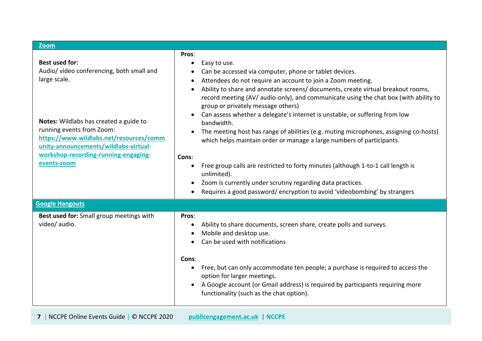| <b>Zoom</b>                                                                                                                                                                                                                                                                                          |                                                                                                                                                                                                                                                                                                                                                                                                                                                                                                                                                                                                                                                                                                                                                                                                                                                                                                    |  |  |
|------------------------------------------------------------------------------------------------------------------------------------------------------------------------------------------------------------------------------------------------------------------------------------------------------|----------------------------------------------------------------------------------------------------------------------------------------------------------------------------------------------------------------------------------------------------------------------------------------------------------------------------------------------------------------------------------------------------------------------------------------------------------------------------------------------------------------------------------------------------------------------------------------------------------------------------------------------------------------------------------------------------------------------------------------------------------------------------------------------------------------------------------------------------------------------------------------------------|--|--|
| <b>Best used for:</b><br>Audio/ video conferencing, both small and<br>large scale.<br>Notes: Wildlabs has created a guide to<br>running events from Zoom:<br>https://www.wildlabs.net/resources/comm<br>unity-announcements/wildlabs-virtual-<br>workshop-recording-running-engaging-<br>events-zoom | Pros:<br>Easy to use.<br>$\bullet$<br>Can be accessed via computer, phone or tablet devices.<br>Attendees do not require an account to join a Zoom meeting.<br>Ability to share and annotate screens/ documents, create virtual breakout rooms,<br>record meeting (AV/ audio-only), and communicate using the chat box (with ability to<br>group or privately message others)<br>Can assess whether a delegate's internet is unstable, or suffering from low<br>bandwidth.<br>The meeting host has range of abilities (e.g. muting microphones, assigning co-hosts)<br>which helps maintain order or manage a large numbers of participants.<br>Cons:<br>Free group calls are restricted to forty minutes (although 1-to-1 call length is<br>unlimited).<br>Zoom is currently under scrutiny regarding data practices.<br>Requires a good password/encryption to avoid 'videobombing' by strangers |  |  |
| <b>Google Hangouts</b>                                                                                                                                                                                                                                                                               |                                                                                                                                                                                                                                                                                                                                                                                                                                                                                                                                                                                                                                                                                                                                                                                                                                                                                                    |  |  |
| Best used for: Small group meetings with<br>video/ audio.                                                                                                                                                                                                                                            | Pros:<br>Ability to share documents, screen share, create polls and surveys.<br>Mobile and desktop use.<br>Can be used with notifications<br>Cons:<br>Free, but can only accommodate ten people; a purchase is required to access the<br>option for larger meetings.<br>A Google account (or Gmail address) is required by participants requiring more<br>functionality (such as the chat option).                                                                                                                                                                                                                                                                                                                                                                                                                                                                                                 |  |  |

**7** | NCCPE Online Events Guide | © NCCPE 2020 **[publicengagement.ac.uk](https://www.publicengagement.ac.uk/) | NCCPE**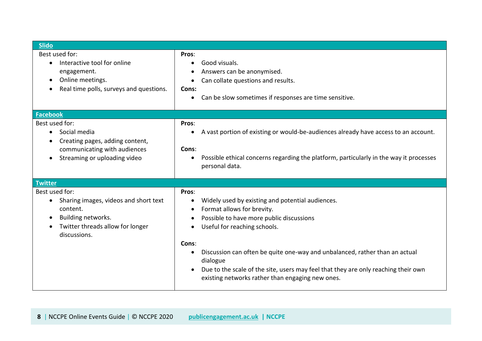| <b>Slido</b>                                                                                                                                                                         |                                                                                                                                                                                                                                                                                                                                                                                                                                             |
|--------------------------------------------------------------------------------------------------------------------------------------------------------------------------------------|---------------------------------------------------------------------------------------------------------------------------------------------------------------------------------------------------------------------------------------------------------------------------------------------------------------------------------------------------------------------------------------------------------------------------------------------|
| Best used for:<br>Interactive tool for online<br>$\bullet$<br>engagement.<br>Online meetings.<br>$\bullet$<br>Real time polls, surveys and questions.<br>$\bullet$                   | Pros:<br>Good visuals.<br>$\bullet$<br>Answers can be anonymised.<br>Can collate questions and results.<br>Cons:<br>Can be slow sometimes if responses are time sensitive.<br>$\bullet$                                                                                                                                                                                                                                                     |
| <b>Facebook</b>                                                                                                                                                                      |                                                                                                                                                                                                                                                                                                                                                                                                                                             |
| Best used for:<br>Social media<br>$\bullet$<br>Creating pages, adding content,<br>$\bullet$<br>communicating with audiences<br>Streaming or uploading video<br>$\bullet$             | Pros:<br>A vast portion of existing or would-be-audiences already have access to an account.<br>Cons:<br>Possible ethical concerns regarding the platform, particularly in the way it processes<br>personal data.                                                                                                                                                                                                                           |
| <b>Twitter</b>                                                                                                                                                                       |                                                                                                                                                                                                                                                                                                                                                                                                                                             |
| Best used for:<br>Sharing images, videos and short text<br>$\bullet$<br>content.<br>Building networks.<br>$\bullet$<br>Twitter threads allow for longer<br>$\bullet$<br>discussions. | Pros:<br>Widely used by existing and potential audiences.<br>$\bullet$<br>Format allows for brevity.<br>Possible to have more public discussions<br>Useful for reaching schools.<br>$\bullet$<br>Cons:<br>Discussion can often be quite one-way and unbalanced, rather than an actual<br>dialogue<br>Due to the scale of the site, users may feel that they are only reaching their own<br>existing networks rather than engaging new ones. |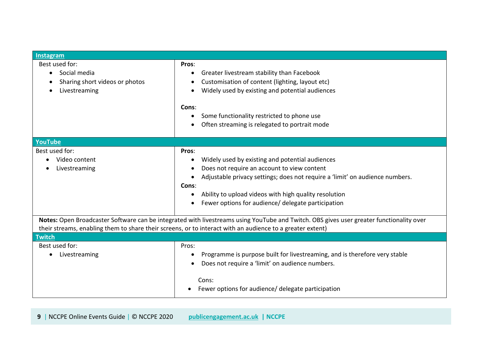| <b>Instagram</b>                                                                                                           |                                                                                                                                                                                                                                                                                                                 |  |
|----------------------------------------------------------------------------------------------------------------------------|-----------------------------------------------------------------------------------------------------------------------------------------------------------------------------------------------------------------------------------------------------------------------------------------------------------------|--|
| Best used for:<br>Social media<br>Sharing short videos or photos<br>Livestreaming<br>$\bullet$                             | Pros:<br>Greater livestream stability than Facebook<br>Customisation of content (lighting, layout etc)<br>Widely used by existing and potential audiences<br>Cons:<br>Some functionality restricted to phone use<br>Often streaming is relegated to portrait mode                                               |  |
| YouTube                                                                                                                    |                                                                                                                                                                                                                                                                                                                 |  |
| Best used for:<br>Video content<br>Livestreaming                                                                           | Pros:<br>Widely used by existing and potential audiences<br>Does not require an account to view content<br>Adjustable privacy settings; does not require a 'limit' on audience numbers.<br>Cons:<br>Ability to upload videos with high quality resolution<br>Fewer options for audience/ delegate participation |  |
|                                                                                                                            | Notes: Open Broadcaster Software can be integrated with livestreams using YouTube and Twitch. OBS gives user greater functionality over                                                                                                                                                                         |  |
| their streams, enabling them to share their screens, or to interact with an audience to a greater extent)<br><b>Twitch</b> |                                                                                                                                                                                                                                                                                                                 |  |
| Best used for:<br>Livestreaming<br>$\bullet$                                                                               | Pros:<br>Programme is purpose built for livestreaming, and is therefore very stable<br>Does not require a 'limit' on audience numbers.<br>Cons:<br>Fewer options for audience/ delegate participation                                                                                                           |  |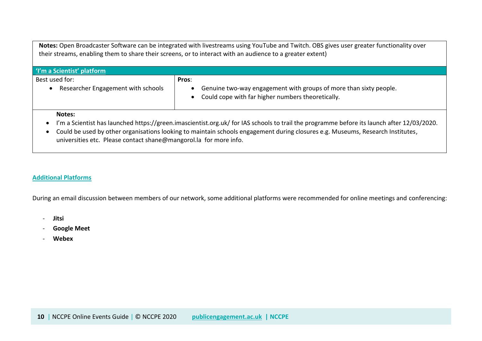**Notes:** Open Broadcaster Software can be integrated with livestreams using YouTube and Twitch. OBS gives user greater functionality over their streams, enabling them to share their screens, or to interact with an audience to a greater extent)

| I'm a Scientist' platform                            |                                                                                                                                 |  |
|------------------------------------------------------|---------------------------------------------------------------------------------------------------------------------------------|--|
| Best used for:<br>Researcher Engagement with schools | Pros:<br>Genuine two-way engagement with groups of more than sixty people.<br>Could cope with far higher numbers theoretically. |  |
| Notes:                                               |                                                                                                                                 |  |

- I'm a Scientist has launched https://green.imascientist.org.uk/ for IAS schools to trail the programme before its launch after 12/03/2020.
- Could be used by other organisations looking to maintain schools engagement during closures e.g. Museums, Research Institutes, universities etc. Please contact shane@mangorol.la for more info.

#### **Additional Platforms**

During an email discussion between members of our network, some additional platforms were recommended for online meetings and conferencing:

- **Jitsi**
- **Google Meet**
- **Webex**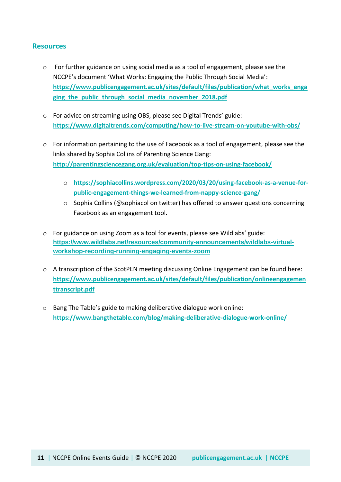#### **Resources**

- o For further guidance on using social media as a tool of engagement, please see the NCCPE's document 'What Works: Engaging the Public Through Social Media': **[https://www.publicengagement.ac.uk/sites/default/files/publication/what\\_works\\_enga](https://www.publicengagement.ac.uk/sites/default/files/publication/what_works_engaging_the_public_through_social_media_november_2018.pdf) [ging\\_the\\_public\\_through\\_social\\_media\\_november\\_2018.pdf](https://www.publicengagement.ac.uk/sites/default/files/publication/what_works_engaging_the_public_through_social_media_november_2018.pdf)**
- o For advice on streaming using OBS, please see Digital Trends' guide: **<https://www.digitaltrends.com/computing/how-to-live-stream-on-youtube-with-obs/>**
- $\circ$  For information pertaining to the use of Facebook as a tool of engagement, please see the links shared by Sophia Collins of Parenting Science Gang: **<http://parentingsciencegang.org.uk/evaluation/top-tips-on-using-facebook/>**
	- o **[https://sophiacollins.wordpress.com/2020/03/20/using-facebook-as-a-venue-for](https://sophiacollins.wordpress.com/2020/03/20/using-facebook-as-a-venue-for-public-engagement-things-we-learned-from-nappy-science-gang/)[public-engagement-things-we-learned-from-nappy-science-gang/](https://sophiacollins.wordpress.com/2020/03/20/using-facebook-as-a-venue-for-public-engagement-things-we-learned-from-nappy-science-gang/)**
	- o Sophia Collins (@sophiacol on twitter) has offered to answer questions concerning Facebook as an engagement tool.
- o For guidance on using Zoom as a tool for events, please see Wildlabs' guide: **[https://www.wildlabs.net/resources/community-announcements/wildlabs-virtual](https://www.wildlabs.net/resources/community-announcements/wildlabs-virtual-workshop-recording-running-engaging-events-zoom)[workshop-recording-running-engaging-events-zoom](https://www.wildlabs.net/resources/community-announcements/wildlabs-virtual-workshop-recording-running-engaging-events-zoom)**
- o A transcription of the ScotPEN meeting discussing Online Engagement can be found here: **[https://www.publicengagement.ac.uk/sites/default/files/publication/onlineengagemen](https://www.publicengagement.ac.uk/sites/default/files/publication/onlineengagementtranscript.pdf) [ttranscript.pdf](https://www.publicengagement.ac.uk/sites/default/files/publication/onlineengagementtranscript.pdf)**
- o Bang The Table's guide to making deliberative dialogue work online: **<https://www.bangthetable.com/blog/making-deliberative-dialogue-work-online/>**